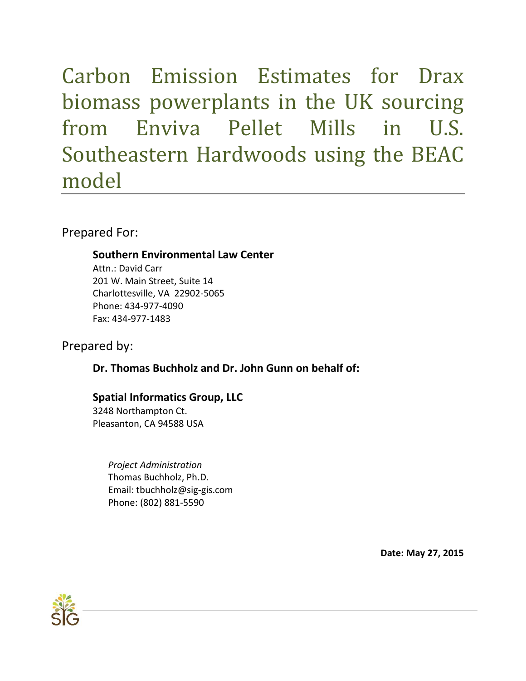Carbon Emission Estimates for Drax biomass powerplants in the UK sourcing from Enviva Pellet Mills in U.S. Southeastern Hardwoods using the BEAC model

Prepared For:

# **Southern Environmental Law Center**

Attn.: David Carr 201 W. Main Street, Suite 14 Charlottesville, VA 22902-5065 Phone: 434-977-4090 Fax: 434-977-1483

# Prepared by:

# **Dr. Thomas Buchholz and Dr. John Gunn on behalf of:**

# **Spatial Informatics Group, LLC**

3248 Northampton Ct. Pleasanton, CA 94588 USA

> *Project Administration* Thomas Buchholz, Ph.D. Email: tbuchholz@sig-gis.com Phone: (802) 881-5590

> > **Date: May 27, 2015**

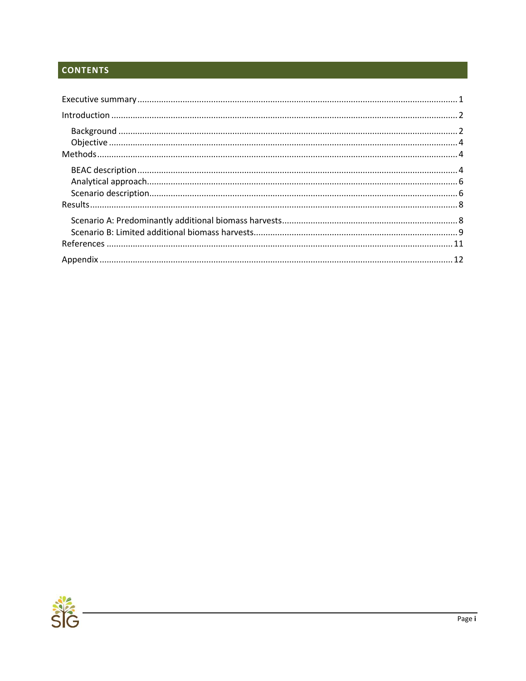# **CONTENTS**

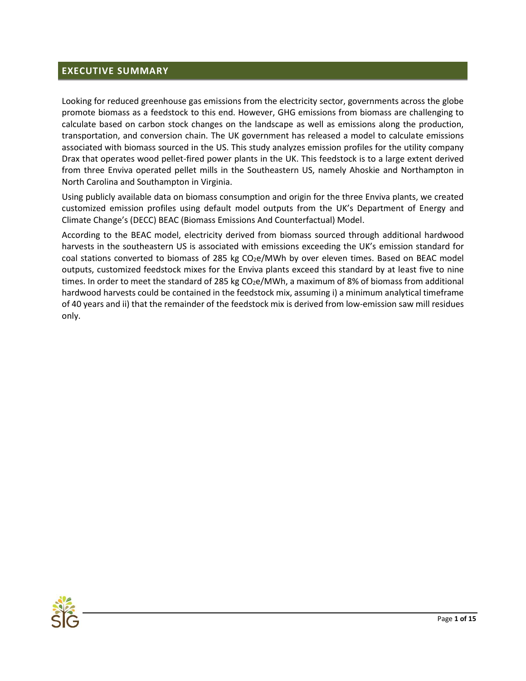### <span id="page-2-0"></span>**EXECUTIVE SUMMARY**

Looking for reduced greenhouse gas emissions from the electricity sector, governments across the globe promote biomass as a feedstock to this end. However, GHG emissions from biomass are challenging to calculate based on carbon stock changes on the landscape as well as emissions along the production, transportation, and conversion chain. The UK government has released a model to calculate emissions associated with biomass sourced in the US. This study analyzes emission profiles for the utility company Drax that operates wood pellet-fired power plants in the UK. This feedstock is to a large extent derived from three Enviva operated pellet mills in the Southeastern US, namely Ahoskie and Northampton in North Carolina and Southampton in Virginia.

Using publicly available data on biomass consumption and origin for the three Enviva plants, we created customized emission profiles using default model outputs from the UK's Department of Energy and Climate Change's (DECC) BEAC (Biomass Emissions And Counterfactual) Model.

According to the BEAC model, electricity derived from biomass sourced through additional hardwood harvests in the southeastern US is associated with emissions exceeding the UK's emission standard for coal stations converted to biomass of 285 kg  $CO<sub>2</sub>e/MWh$  by over eleven times. Based on BEAC model outputs, customized feedstock mixes for the Enviva plants exceed this standard by at least five to nine times. In order to meet the standard of 285 kg  $CO<sub>2</sub>e/MWh$ , a maximum of 8% of biomass from additional hardwood harvests could be contained in the feedstock mix, assuming i) a minimum analytical timeframe of 40 years and ii) that the remainder of the feedstock mix is derived from low-emission saw mill residues only.

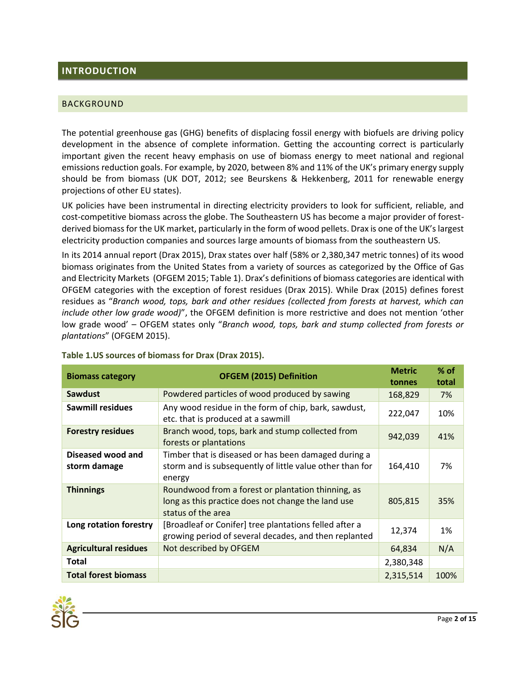## <span id="page-3-0"></span>**INTRODUCTION**

#### <span id="page-3-1"></span>BACKGROUND

The potential greenhouse gas (GHG) benefits of displacing fossil energy with biofuels are driving policy development in the absence of complete information. Getting the accounting correct is particularly important given the recent heavy emphasis on use of biomass energy to meet national and regional emissions reduction goals. For example, by 2020, between 8% and 11% of the UK's primary energy supply should be from biomass (UK DOT, 2012; see Beurskens & Hekkenberg, 2011 for renewable energy projections of other EU states).

UK policies have been instrumental in directing electricity providers to look for sufficient, reliable, and cost-competitive biomass across the globe. The Southeastern US has become a major provider of forestderived biomass for the UK market, particularly in the form of wood pellets. Drax is one of the UK's largest electricity production companies and sources large amounts of biomass from the southeastern US.

In its 2014 annual report (Drax 2015), Drax states over half (58% or 2,380,347 metric tonnes) of its wood biomass originates from the United States from a variety of sources as categorized by the Office of Gas and Electricity Markets (OFGEM 2015; Table 1). Drax's definitions of biomass categories are identical with OFGEM categories with the exception of forest residues (Drax 2015). While Drax (2015) defines forest residues as "*Branch wood, tops, bark and other residues (collected from forests at harvest, which can include other low grade wood)*", the OFGEM definition is more restrictive and does not mention 'other low grade wood' – OFGEM states only "*Branch wood, tops, bark and stump collected from forests or plantations*" (OFGEM 2015).

| <b>Biomass category</b>           | <b>OFGEM (2015) Definition</b>                                                                                                 | <b>Metric</b> | $%$ of |
|-----------------------------------|--------------------------------------------------------------------------------------------------------------------------------|---------------|--------|
|                                   |                                                                                                                                |               | total  |
| Sawdust                           | Powdered particles of wood produced by sawing                                                                                  | 168,829       | 7%     |
| <b>Sawmill residues</b>           | Any wood residue in the form of chip, bark, sawdust,<br>etc. that is produced at a sawmill                                     | 222,047       | 10%    |
| <b>Forestry residues</b>          | Branch wood, tops, bark and stump collected from<br>forests or plantations                                                     | 942,039       | 41%    |
| Diseased wood and<br>storm damage | Timber that is diseased or has been damaged during a<br>storm and is subsequently of little value other than for<br>energy     | 164,410       | 7%     |
| <b>Thinnings</b>                  | Roundwood from a forest or plantation thinning, as<br>long as this practice does not change the land use<br>status of the area | 805,815       | 35%    |
| Long rotation forestry            | [Broadleaf or Conifer] tree plantations felled after a<br>growing period of several decades, and then replanted                | 12,374        | 1%     |
| <b>Agricultural residues</b>      | Not described by OFGEM                                                                                                         | 64,834        | N/A    |
| <b>Total</b>                      |                                                                                                                                | 2,380,348     |        |
| <b>Total forest biomass</b>       |                                                                                                                                | 2,315,514     | 100%   |

<span id="page-3-2"></span>**Table 1.US sources of biomass for Drax (Drax 2015).**

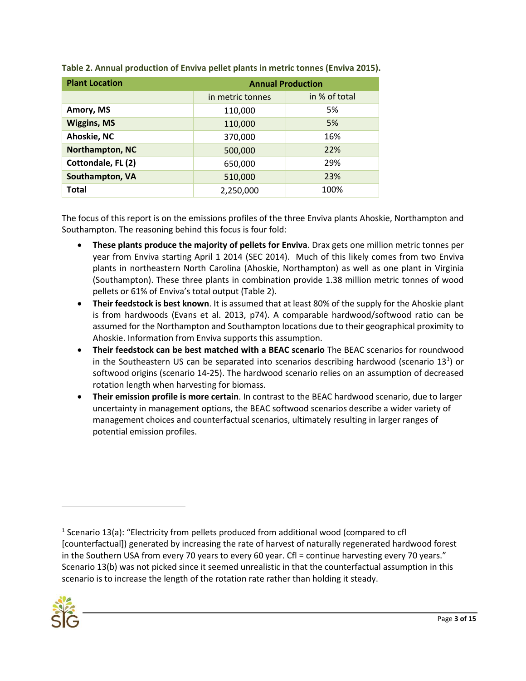| <b>Plant Location</b> | <b>Annual Production</b> |               |  |  |  |
|-----------------------|--------------------------|---------------|--|--|--|
|                       | in metric tonnes         | in % of total |  |  |  |
| Amory, MS             | 110,000                  | 5%            |  |  |  |
| <b>Wiggins, MS</b>    | 110,000                  | 5%            |  |  |  |
| Ahoskie, NC           | 370,000                  | 16%           |  |  |  |
| Northampton, NC       | 500,000                  | 22%           |  |  |  |
| Cottondale, FL (2)    | 650,000                  | 29%           |  |  |  |
| Southampton, VA       | 510,000                  | 23%           |  |  |  |
| <b>Total</b>          | 2,250,000                | 100%          |  |  |  |

**Table 2. Annual production of Enviva pellet plants in metric tonnes (Enviva 2015).**

The focus of this report is on the emissions profiles of the three Enviva plants Ahoskie, Northampton and Southampton. The reasoning behind this focus is four fold:

- **These plants produce the majority of pellets for Enviva**. Drax gets one million metric tonnes per year from Enviva starting April 1 2014 (SEC 2014). Much of this likely comes from two Enviva plants in northeastern North Carolina (Ahoskie, Northampton) as well as one plant in Virginia (Southampton). These three plants in combination provide 1.38 million metric tonnes of wood pellets or 61% of Enviva's total output (Table 2).
- **Their feedstock is best known**. It is assumed that at least 80% of the supply for the Ahoskie plant is from hardwoods (Evans et al. 2013, p74). A comparable hardwood/softwood ratio can be assumed for the Northampton and Southampton locations due to their geographical proximity to Ahoskie. Information from Enviva supports this assumption.
- **Their feedstock can be best matched with a BEAC scenario** The BEAC scenarios for roundwood in the Southeastern US can be separated into scenarios describing hardwood (scenario 13<sup>1</sup>) or softwood origins (scenario 14-25). The hardwood scenario relies on an assumption of decreased rotation length when harvesting for biomass.
- **Their emission profile is more certain**. In contrast to the BEAC hardwood scenario, due to larger uncertainty in management options, the BEAC softwood scenarios describe a wider variety of management choices and counterfactual scenarios, ultimately resulting in larger ranges of potential emission profiles.

 $<sup>1</sup>$  Scenario 13(a): "Electricity from pellets produced from additional wood (compared to cfl</sup> [counterfactual]) generated by increasing the rate of harvest of naturally regenerated hardwood forest in the Southern USA from every 70 years to every 60 year. Cfl = continue harvesting every 70 years." Scenario 13(b) was not picked since it seemed unrealistic in that the counterfactual assumption in this scenario is to increase the length of the rotation rate rather than holding it steady.



 $\overline{\phantom{a}}$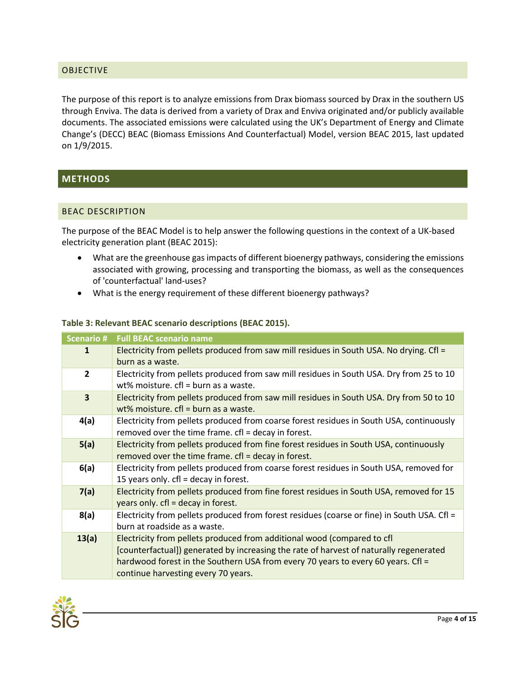#### <span id="page-5-0"></span>OBJECTIVE

The purpose of this report is to analyze emissions from Drax biomass sourced by Drax in the southern US through Enviva. The data is derived from a variety of Drax and Enviva originated and/or publicly available documents. The associated emissions were calculated using the UK's Department of Energy and Climate Change's (DECC) BEAC (Biomass Emissions And Counterfactual) Model, version BEAC 2015, last updated on 1/9/2015.

## <span id="page-5-1"></span>**METHODS**

#### <span id="page-5-2"></span>BEAC DESCRIPTION

The purpose of the BEAC Model is to help answer the following questions in the context of a UK-based electricity generation plant (BEAC 2015):

- What are the greenhouse gas impacts of different bioenergy pathways, considering the emissions associated with growing, processing and transporting the biomass, as well as the consequences of 'counterfactual' land-uses?
- What is the energy requirement of these different bioenergy pathways?

#### <span id="page-5-3"></span>**Table 3: Relevant BEAC scenario descriptions (BEAC 2015).**

| Scenario #              | <b>Full BEAC scenario name</b>                                                                                                                                                                                                                                                               |
|-------------------------|----------------------------------------------------------------------------------------------------------------------------------------------------------------------------------------------------------------------------------------------------------------------------------------------|
| 1                       | Electricity from pellets produced from saw mill residues in South USA. No drying. Cfl =<br>burn as a waste.                                                                                                                                                                                  |
| $\overline{2}$          | Electricity from pellets produced from saw mill residues in South USA. Dry from 25 to 10<br>wt% moisture. $cf = burn$ as a waste.                                                                                                                                                            |
| $\overline{\mathbf{3}}$ | Electricity from pellets produced from saw mill residues in South USA. Dry from 50 to 10<br>wt% moisture. $cf = burn$ as a waste.                                                                                                                                                            |
| 4(a)                    | Electricity from pellets produced from coarse forest residues in South USA, continuously<br>removed over the time frame. cfl = decay in forest.                                                                                                                                              |
| 5(a)                    | Electricity from pellets produced from fine forest residues in South USA, continuously<br>removed over the time frame. cfl = decay in forest.                                                                                                                                                |
| 6(a)                    | Electricity from pellets produced from coarse forest residues in South USA, removed for<br>15 years only. cfl = decay in forest.                                                                                                                                                             |
| 7(a)                    | Electricity from pellets produced from fine forest residues in South USA, removed for 15<br>years only. cfl = decay in forest.                                                                                                                                                               |
| 8(a)                    | Electricity from pellets produced from forest residues (coarse or fine) in South USA. Cfl =<br>burn at roadside as a waste.                                                                                                                                                                  |
| 13(a)                   | Electricity from pellets produced from additional wood (compared to cfl<br>[counterfactual]) generated by increasing the rate of harvest of naturally regenerated<br>hardwood forest in the Southern USA from every 70 years to every 60 years. Cfl =<br>continue harvesting every 70 years. |

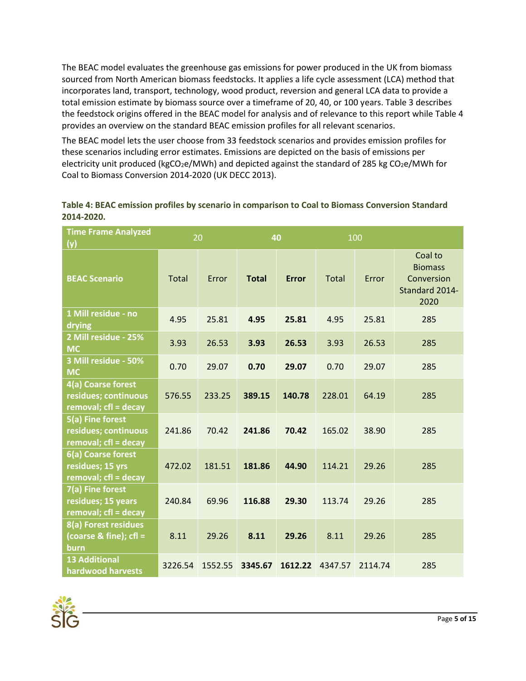The BEAC model evaluates the greenhouse gas emissions for power produced in the UK from biomass sourced from North American biomass feedstocks. It applies a life cycle assessment (LCA) method that incorporates land, transport, technology, wood product, reversion and general LCA data to provide a total emission estimate by biomass source over a timeframe of 20, 40, or 100 years. [Table 3](#page-5-3) describes the feedstock origins offered in the BEAC model for analysis and of relevance to this report whil[e Table 4](#page-6-0) provides an overview on the standard BEAC emission profiles for all relevant scenarios.

The BEAC model lets the user choose from 33 feedstock scenarios and provides emission profiles for these scenarios including error estimates. Emissions are depicted on the basis of emissions per electricity unit produced (kgCO<sub>2</sub>e/MWh) and depicted against the standard of 285 kg CO<sub>2</sub>e/MWh for Coal to Biomass Conversion 2014-2020 (UK DECC 2013).

| <b>Time Frame Analyzed</b><br>(y)                                  | 20           |         | 40           |              | 100          |         |                                                                   |
|--------------------------------------------------------------------|--------------|---------|--------------|--------------|--------------|---------|-------------------------------------------------------------------|
| <b>BEAC Scenario</b>                                               | <b>Total</b> | Error   | <b>Total</b> | <b>Error</b> | <b>Total</b> | Error   | Coal to<br><b>Biomass</b><br>Conversion<br>Standard 2014-<br>2020 |
| 1 Mill residue - no<br>drying                                      | 4.95         | 25.81   | 4.95         | 25.81        | 4.95         | 25.81   | 285                                                               |
| 2 Mill residue - 25%<br><b>MC</b>                                  | 3.93         | 26.53   | 3.93         | 26.53        | 3.93         | 26.53   | 285                                                               |
| 3 Mill residue - 50%<br><b>MC</b>                                  | 0.70         | 29.07   | 0.70         | 29.07        | 0.70         | 29.07   | 285                                                               |
| 4(a) Coarse forest<br>residues; continuous<br>removal; cfl = decay | 576.55       | 233.25  | 389.15       | 140.78       | 228.01       | 64.19   | 285                                                               |
| 5(a) Fine forest<br>residues; continuous<br>removal; cfl = decay   | 241.86       | 70.42   | 241.86       | 70.42        | 165.02       | 38.90   | 285                                                               |
| 6(a) Coarse forest<br>residues; 15 yrs<br>removal; cfl = decay     | 472.02       | 181.51  | 181.86       | 44.90        | 114.21       | 29.26   | 285                                                               |
| 7(a) Fine forest<br>residues; 15 years<br>removal; cfl = decay     | 240.84       | 69.96   | 116.88       | 29.30        | 113.74       | 29.26   | 285                                                               |
| 8(a) Forest residues<br>(coarse & fine); $cfl =$<br>burn           | 8.11         | 29.26   | 8.11         | 29.26        | 8.11         | 29.26   | 285                                                               |
| <b>13 Additional</b><br>hardwood harvests                          | 3226.54      | 1552.55 | 3345.67      | 1612.22      | 4347.57      | 2114.74 | 285                                                               |

<span id="page-6-0"></span>**Table 4: BEAC emission profiles by scenario in comparison to Coal to Biomass Conversion Standard 2014-2020.**

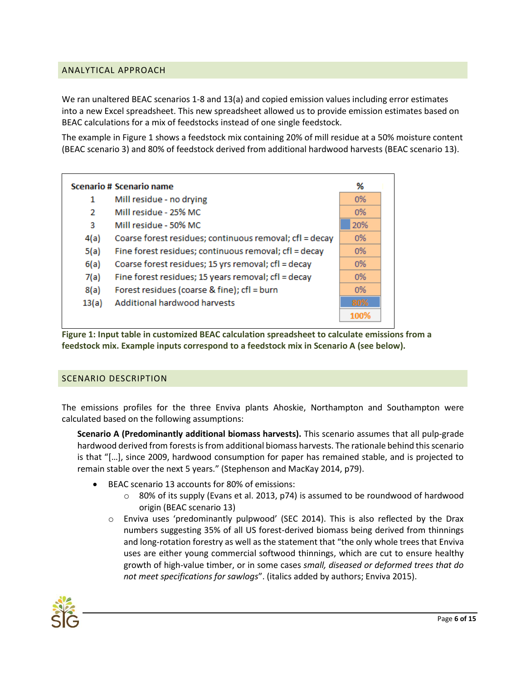### <span id="page-7-0"></span>ANALYTICAL APPROACH

We ran unaltered BEAC scenarios 1-8 and 13(a) and copied emission values including error estimates into a new Excel spreadsheet. This new spreadsheet allowed us to provide emission estimates based on BEAC calculations for a mix of feedstocks instead of one single feedstock.

The example i[n Figure 1](#page-7-2) shows a feedstock mix containing 20% of mill residue at a 50% moisture content (BEAC scenario 3) and 80% of feedstock derived from additional hardwood harvests (BEAC scenario 13).



<span id="page-7-2"></span>**Figure 1: Input table in customized BEAC calculation spreadsheet to calculate emissions from a feedstock mix. Example inputs correspond to a feedstock mix in Scenario A (see below).**

#### <span id="page-7-1"></span>SCENARIO DESCRIPTION

The emissions profiles for the three Enviva plants Ahoskie, Northampton and Southampton were calculated based on the following assumptions:

**Scenario A (Predominantly additional biomass harvests).** This scenario assumes that all pulp-grade hardwood derived from forests is from additional biomass harvests. The rationale behind this scenario is that "[…], since 2009, hardwood consumption for paper has remained stable, and is projected to remain stable over the next 5 years." (Stephenson and MacKay 2014, p79).

- BEAC scenario 13 accounts for 80% of emissions:
	- $\circ$  80% of its supply (Evans et al. 2013, p74) is assumed to be roundwood of hardwood origin (BEAC scenario 13)
	- $\circ$  Enviva uses 'predominantly pulpwood' (SEC 2014). This is also reflected by the Drax numbers suggesting 35% of all US forest-derived biomass being derived from thinnings and long-rotation forestry as well as the statement that "the only whole trees that Enviva uses are either young commercial softwood thinnings, which are cut to ensure healthy growth of high-value timber, or in some cases *small, diseased or deformed trees that do not meet specifications for sawlogs*". (italics added by authors; Enviva 2015).

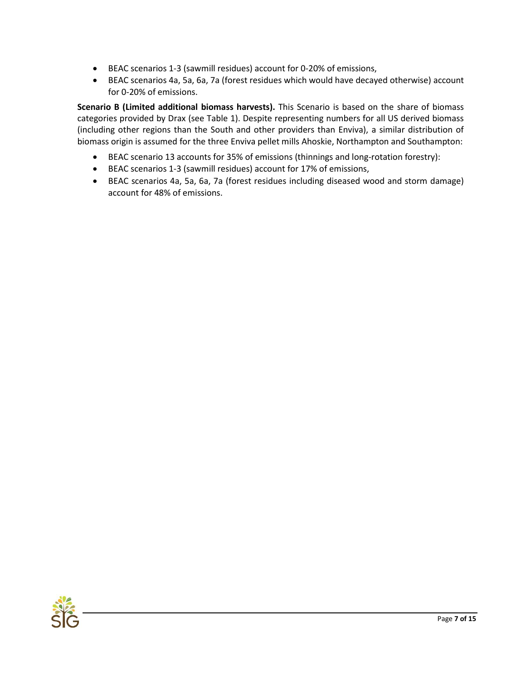- BEAC scenarios 1-3 (sawmill residues) account for 0-20% of emissions,
- BEAC scenarios 4a, 5a, 6a, 7a (forest residues which would have decayed otherwise) account for 0-20% of emissions.

**Scenario B (Limited additional biomass harvests).** This Scenario is based on the share of biomass categories provided by Drax (see [Table 1\)](#page-3-2). Despite representing numbers for all US derived biomass (including other regions than the South and other providers than Enviva), a similar distribution of biomass origin is assumed for the three Enviva pellet mills Ahoskie, Northampton and Southampton:

- BEAC scenario 13 accounts for 35% of emissions (thinnings and long-rotation forestry):
- BEAC scenarios 1-3 (sawmill residues) account for 17% of emissions,
- BEAC scenarios 4a, 5a, 6a, 7a (forest residues including diseased wood and storm damage) account for 48% of emissions.

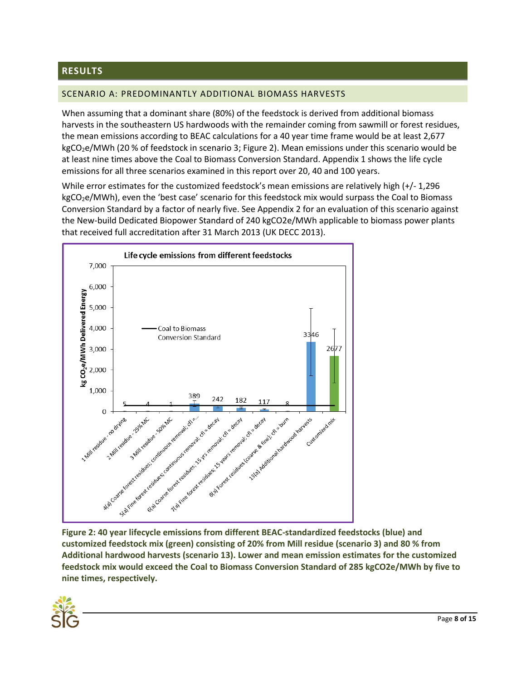## <span id="page-9-0"></span>**RESULTS**

#### <span id="page-9-1"></span>SCENARIO A: PREDOMINANTLY ADDITIONAL BIOMASS HARVESTS

When assuming that a dominant share (80%) of the feedstock is derived from additional biomass harvests in the southeastern US hardwoods with the remainder coming from sawmill or forest residues, the mean emissions according to BEAC calculations for a 40 year time frame would be at least 2,677 kgCO<sub>2</sub>e/MWh (20 % of feedstock in scenario 3; [Figure 2\)](#page-9-2). Mean emissions under this scenario would be at least nine times above the Coal to Biomass Conversion Standard. Appendix 1 shows the life cycle emissions for all three scenarios examined in this report over 20, 40 and 100 years.

While error estimates for the customized feedstock's mean emissions are relatively high (+/- 1,296 kgCO<sub>2</sub>e/MWh), even the 'best case' scenario for this feedstock mix would surpass the Coal to Biomass Conversion Standard by a factor of nearly five. See Appendix 2 for an evaluation of this scenario against the New-build Dedicated Biopower Standard of 240 kgCO2e/MWh applicable to biomass power plants that received full accreditation after 31 March 2013 (UK DECC 2013).



<span id="page-9-2"></span>**Figure 2: 40 year lifecycle emissions from different BEAC-standardized feedstocks (blue) and customized feedstock mix (green) consisting of 20% from Mill residue (scenario 3) and 80 % from Additional hardwood harvests (scenario 13). Lower and mean emission estimates for the customized feedstock mix would exceed the Coal to Biomass Conversion Standard of 285 kgCO2e/MWh by five to nine times, respectively.**

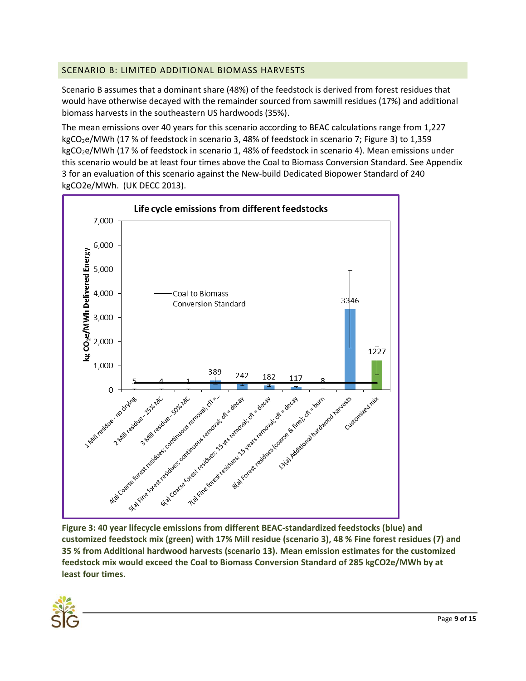## <span id="page-10-0"></span>SCENARIO B: LIMITED ADDITIONAL BIOMASS HARVESTS

Scenario B assumes that a dominant share (48%) of the feedstock is derived from forest residues that would have otherwise decayed with the remainder sourced from sawmill residues (17%) and additional biomass harvests in the southeastern US hardwoods (35%).

The mean emissions over 40 years for this scenario according to BEAC calculations range from 1,227 kgCO<sub>2</sub>e/MWh (17 % of feedstock in scenario 3, 48% of feedstock in scenario 7; [Figure 3\)](#page-10-1) to 1,359 kgCO<sub>2</sub>e/MWh (17 % of feedstock in scenario 1, 48% of feedstock in scenario 4). Mean emissions under this scenario would be at least four times above the Coal to Biomass Conversion Standard. See Appendix 3 for an evaluation of this scenario against the New-build Dedicated Biopower Standard of 240 kgCO2e/MWh. (UK DECC 2013).



<span id="page-10-1"></span>**customized feedstock mix (green) with 17% Mill residue (scenario 3), 48 % Fine forest residues (7) and 35 % from Additional hardwood harvests (scenario 13). Mean emission estimates for the customized feedstock mix would exceed the Coal to Biomass Conversion Standard of 285 kgCO2e/MWh by at least four times.**

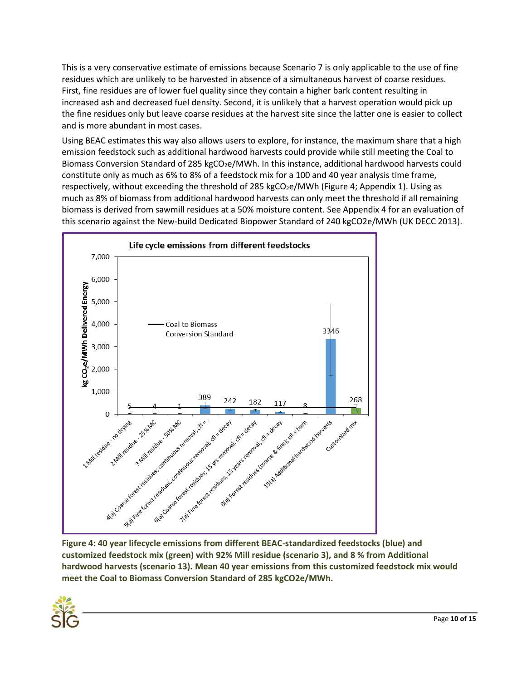This is a very conservative estimate of emissions because Scenario 7 is only applicable to the use of fine residues which are unlikely to be harvested in absence of a simultaneous harvest of coarse residues. First, fine residues are of lower fuel quality since they contain a higher bark content resulting in increased ash and decreased fuel density. Second, it is unlikely that a harvest operation would pick up the fine residues only but leave coarse residues at the harvest site since the latter one is easier to collect and is more abundant in most cases.

Using BEAC estimates this way also allows users to explore, for instance, the maximum share that a high emission feedstock such as additional hardwood harvests could provide while still meeting the Coal to Biomass Conversion Standard of 285 kgCO<sub>2</sub>e/MWh. In this instance, additional hardwood harvests could constitute only as much as 6% to 8% of a feedstock mix for a 100 and 40 year analysis time frame, respectively, without exceeding the threshold of 285 kgCO<sub>2</sub>e/MWh [\(Figure 4;](#page-11-0) Appendix 1). Using as much as 8% of biomass from additional hardwood harvests can only meet the threshold if all remaining biomass is derived from sawmill residues at a 50% moisture content. See Appendix 4 for an evaluation of this scenario against the New-build Dedicated Biopower Standard of 240 kgCO2e/MWh (UK DECC 2013).



<span id="page-11-0"></span>**Figure 4: 40 year lifecycle emissions from different BEAC-standardized feedstocks (blue) and customized feedstock mix (green) with 92% Mill residue (scenario 3), and 8 % from Additional hardwood harvests (scenario 13). Mean 40 year emissions from this customized feedstock mix would meet the Coal to Biomass Conversion Standard of 285 kgCO2e/MWh.**

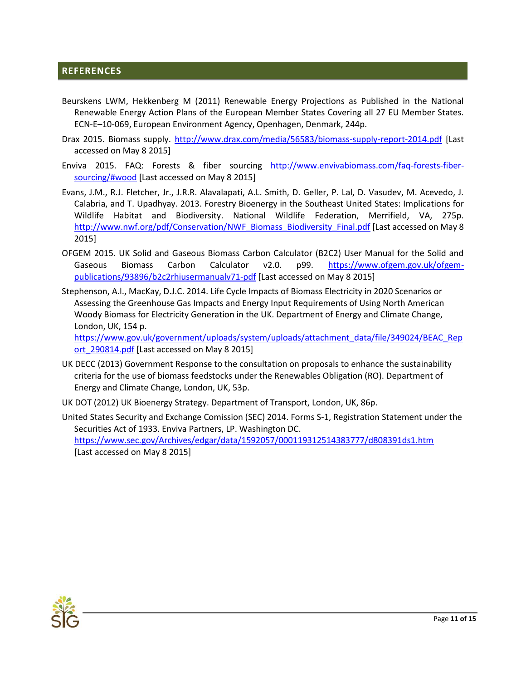## <span id="page-12-0"></span>**REFERENCES**

- Beurskens LWM, Hekkenberg M (2011) Renewable Energy Projections as Published in the National Renewable Energy Action Plans of the European Member States Covering all 27 EU Member States. ECN-E–10-069, European Environment Agency, Openhagen, Denmark, 244p.
- Drax 2015. Biomass supply.<http://www.drax.com/media/56583/biomass-supply-report-2014.pdf> [Last accessed on May 8 2015]
- Enviva 2015. FAQ: Forests & fiber sourcing [http://www.envivabiomass.com/faq-forests-fiber](http://www.envivabiomass.com/faq-forests-fiber-sourcing/#wood)[sourcing/#wood](http://www.envivabiomass.com/faq-forests-fiber-sourcing/#wood) [Last accessed on May 8 2015]
- Evans, J.M., R.J. Fletcher, Jr., J.R.R. Alavalapati, A.L. Smith, D. Geller, P. Lal, D. Vasudev, M. Acevedo, J. Calabria, and T. Upadhyay. 2013. Forestry Bioenergy in the Southeast United States: Implications for Wildlife Habitat and Biodiversity. National Wildlife Federation, Merrifield, VA, 275p. [http://www.nwf.org/pdf/Conservation/NWF\\_Biomass\\_Biodiversity\\_Final.pdf](http://www.nwf.org/pdf/Conservation/NWF_Biomass_Biodiversity_Final.pdf) [Last accessed on May 8 2015]
- OFGEM 2015. UK Solid and Gaseous Biomass Carbon Calculator (B2C2) User Manual for the Solid and Gaseous Biomass Carbon Calculator v2.0. p99. [https://www.ofgem.gov.uk/ofgem](https://www.ofgem.gov.uk/ofgem-publications/93896/b2c2rhiusermanualv71-pdf)[publications/93896/b2c2rhiusermanualv71-pdf](https://www.ofgem.gov.uk/ofgem-publications/93896/b2c2rhiusermanualv71-pdf) [Last accessed on May 8 2015]
- Stephenson, A.l., MacKay, D.J.C. 2014. Life Cycle Impacts of Biomass Electricity in 2020 Scenarios or Assessing the Greenhouse Gas Impacts and Energy Input Requirements of Using North American Woody Biomass for Electricity Generation in the UK. Department of Energy and Climate Change, London, UK, 154 p.

[https://www.gov.uk/government/uploads/system/uploads/attachment\\_data/file/349024/BEAC\\_Rep](https://www.gov.uk/government/uploads/system/uploads/attachment_data/file/349024/BEAC_Report_290814.pdf) ort 290814.pdf [Last accessed on May 8 2015]

- UK DECC (2013) Government Response to the consultation on proposals to enhance the sustainability criteria for the use of biomass feedstocks under the Renewables Obligation (RO). Department of Energy and Climate Change, London, UK, 53p.
- UK DOT (2012) UK Bioenergy Strategy. Department of Transport, London, UK, 86p.
- United States Security and Exchange Comission (SEC) 2014. Forms S-1, Registration Statement under the Securities Act of 1933. Enviva Partners, LP. Washington DC. <https://www.sec.gov/Archives/edgar/data/1592057/000119312514383777/d808391ds1.htm> [Last accessed on May 8 2015]

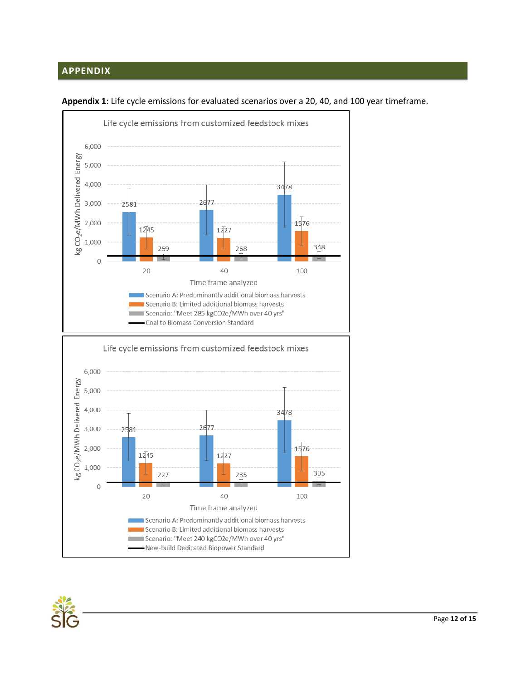# <span id="page-13-0"></span>**APPENDIX**



**Appendix 1**: Life cycle emissions for evaluated scenarios over a 20, 40, and 100 year timeframe.

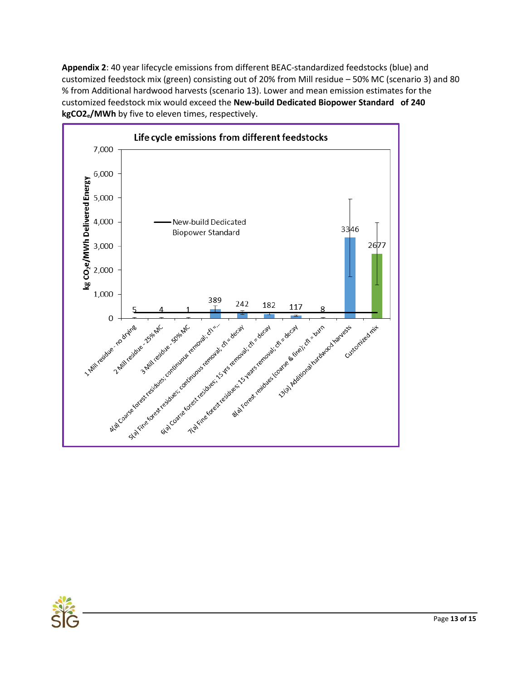**Appendix 2**: 40 year lifecycle emissions from different BEAC-standardized feedstocks (blue) and customized feedstock mix (green) consisting out of 20% from Mill residue – 50% MC (scenario 3) and 80 % from Additional hardwood harvests (scenario 13). Lower and mean emission estimates for the customized feedstock mix would exceed the **New-build Dedicated Biopower Standard of 240 kgCO2e/MWh** by five to eleven times, respectively.



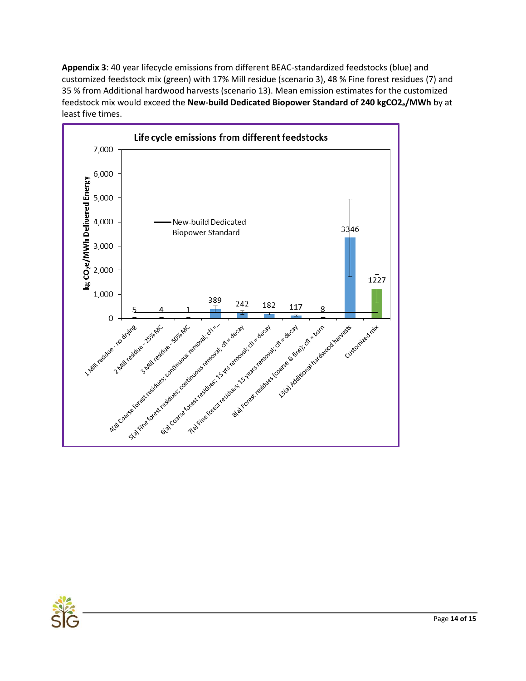**Appendix 3**: 40 year lifecycle emissions from different BEAC-standardized feedstocks (blue) and customized feedstock mix (green) with 17% Mill residue (scenario 3), 48 % Fine forest residues (7) and 35 % from Additional hardwood harvests (scenario 13). Mean emission estimates for the customized feedstock mix would exceed the **New-build Dedicated Biopower Standard of 240 kgCO2e/MWh** by at least five times.